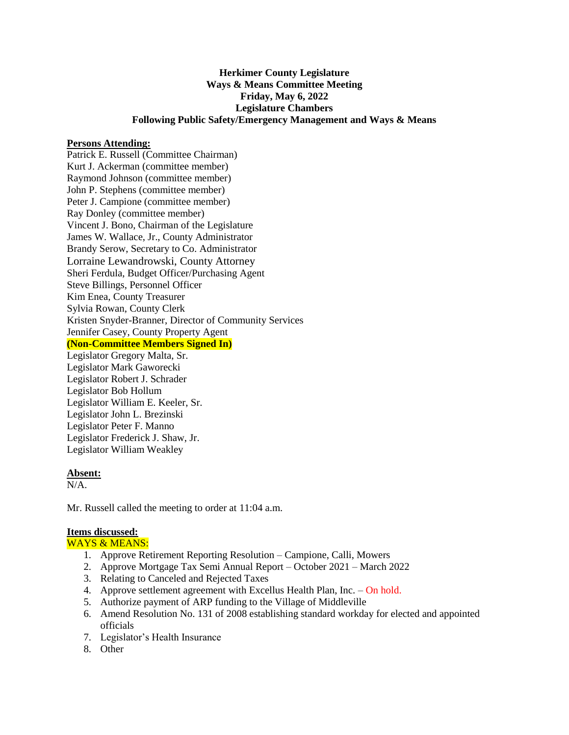## **Herkimer County Legislature Ways & Means Committee Meeting Friday, May 6, 2022 Legislature Chambers Following Public Safety/Emergency Management and Ways & Means**

### **Persons Attending:**

Patrick E. Russell (Committee Chairman) Kurt J. Ackerman (committee member) Raymond Johnson (committee member) John P. Stephens (committee member) Peter J. Campione (committee member) Ray Donley (committee member) Vincent J. Bono, Chairman of the Legislature James W. Wallace, Jr., County Administrator Brandy Serow, Secretary to Co. Administrator Lorraine Lewandrowski, County Attorney Sheri Ferdula, Budget Officer/Purchasing Agent Steve Billings, Personnel Officer Kim Enea, County Treasurer Sylvia Rowan, County Clerk Kristen Snyder-Branner, Director of Community Services Jennifer Casey, County Property Agent **(Non-Committee Members Signed In)** Legislator Gregory Malta, Sr. Legislator Mark Gaworecki Legislator Robert J. Schrader Legislator Bob Hollum Legislator William E. Keeler, Sr.

Legislator John L. Brezinski Legislator Peter F. Manno Legislator Frederick J. Shaw, Jr. Legislator William Weakley

#### **Absent:**

N/A.

Mr. Russell called the meeting to order at 11:04 a.m.

### **Items discussed:**

WAYS & MEANS:

- 1. Approve Retirement Reporting Resolution Campione, Calli, Mowers
- 2. Approve Mortgage Tax Semi Annual Report October 2021 March 2022
- 3. Relating to Canceled and Rejected Taxes
- 4. Approve settlement agreement with Excellus Health Plan, Inc. On hold.
- 5. Authorize payment of ARP funding to the Village of Middleville
- 6. Amend Resolution No. 131 of 2008 establishing standard workday for elected and appointed officials
- 7. Legislator's Health Insurance
- 8. Other